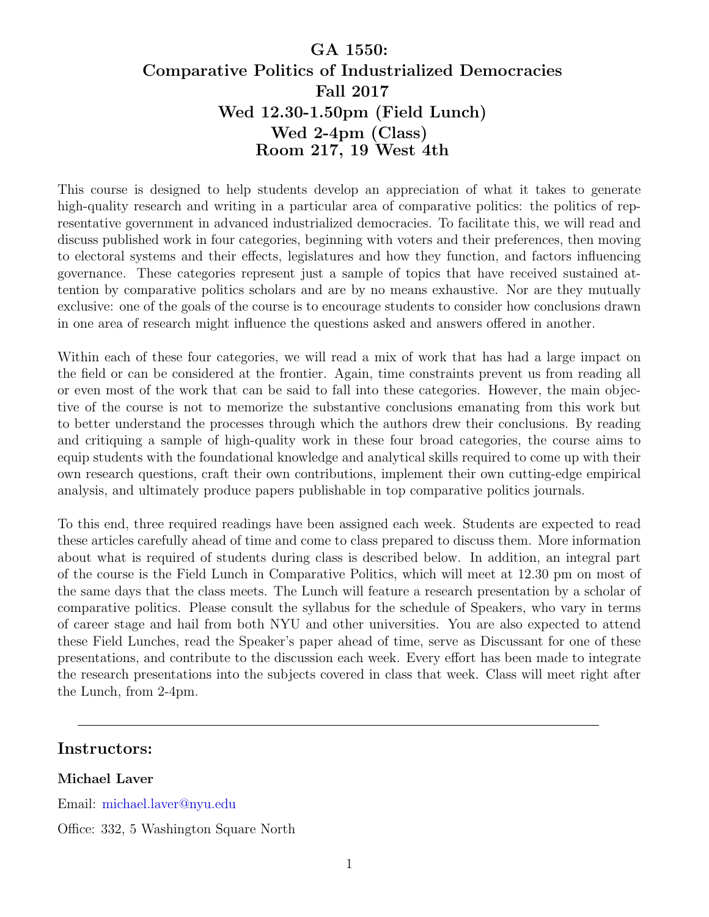# GA 1550: Comparative Politics of Industrialized Democracies Fall 2017 Wed 12.30-1.50pm (Field Lunch) Wed 2-4pm (Class) Room 217, 19 West 4th

This course is designed to help students develop an appreciation of what it takes to generate high-quality research and writing in a particular area of comparative politics: the politics of representative government in advanced industrialized democracies. To facilitate this, we will read and discuss published work in four categories, beginning with voters and their preferences, then moving to electoral systems and their effects, legislatures and how they function, and factors influencing governance. These categories represent just a sample of topics that have received sustained attention by comparative politics scholars and are by no means exhaustive. Nor are they mutually exclusive: one of the goals of the course is to encourage students to consider how conclusions drawn in one area of research might influence the questions asked and answers offered in another.

Within each of these four categories, we will read a mix of work that has had a large impact on the field or can be considered at the frontier. Again, time constraints prevent us from reading all or even most of the work that can be said to fall into these categories. However, the main objective of the course is not to memorize the substantive conclusions emanating from this work but to better understand the processes through which the authors drew their conclusions. By reading and critiquing a sample of high-quality work in these four broad categories, the course aims to equip students with the foundational knowledge and analytical skills required to come up with their own research questions, craft their own contributions, implement their own cutting-edge empirical analysis, and ultimately produce papers publishable in top comparative politics journals.

To this end, three required readings have been assigned each week. Students are expected to read these articles carefully ahead of time and come to class prepared to discuss them. More information about what is required of students during class is described below. In addition, an integral part of the course is the Field Lunch in Comparative Politics, which will meet at 12.30 pm on most of the same days that the class meets. The Lunch will feature a research presentation by a scholar of comparative politics. Please consult the syllabus for the schedule of Speakers, who vary in terms of career stage and hail from both NYU and other universities. You are also expected to attend these Field Lunches, read the Speaker's paper ahead of time, serve as Discussant for one of these presentations, and contribute to the discussion each week. Every effort has been made to integrate the research presentations into the subjects covered in class that week. Class will meet right after the Lunch, from 2-4pm.

## Instructors:

### Michael Laver

Email: [michael.laver@nyu.edu](mailto:michael.laver@nyu.edu)

Office: 332, 5 Washington Square North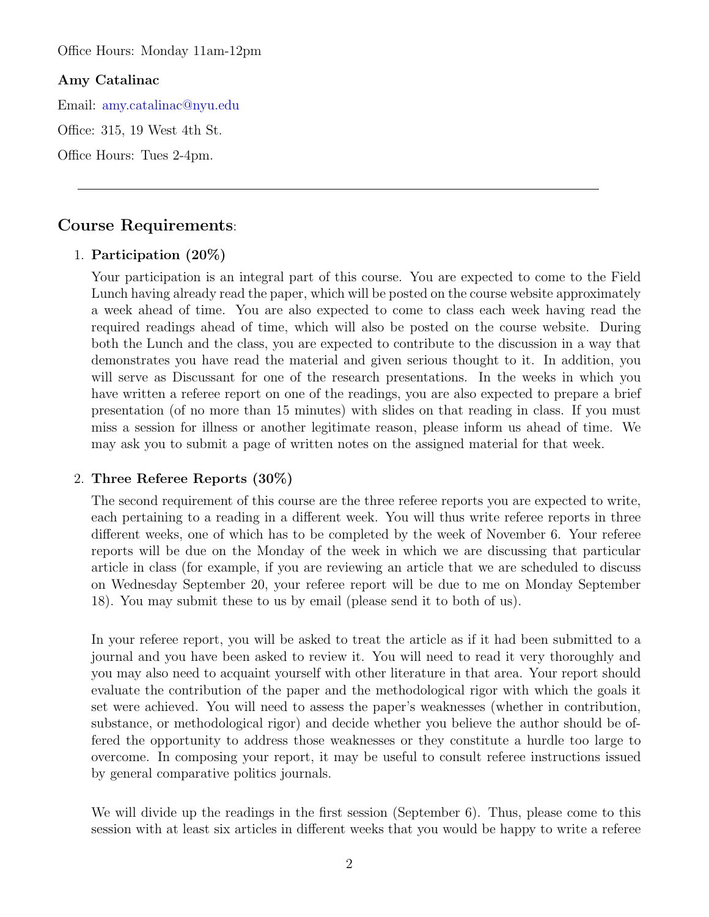Office Hours: Monday 11am-12pm

### Amy Catalinac

Email: [amy.catalinac@nyu.edu](mailto:amy.catalinac@nyu.edu)

Office: 315, 19 West 4th St.

Office Hours: Tues 2-4pm.

# Course Requirements:

### 1. Participation (20%)

Your participation is an integral part of this course. You are expected to come to the Field Lunch having already read the paper, which will be posted on the course website approximately a week ahead of time. You are also expected to come to class each week having read the required readings ahead of time, which will also be posted on the course website. During both the Lunch and the class, you are expected to contribute to the discussion in a way that demonstrates you have read the material and given serious thought to it. In addition, you will serve as Discussant for one of the research presentations. In the weeks in which you have written a referee report on one of the readings, you are also expected to prepare a brief presentation (of no more than 15 minutes) with slides on that reading in class. If you must miss a session for illness or another legitimate reason, please inform us ahead of time. We may ask you to submit a page of written notes on the assigned material for that week.

#### 2. Three Referee Reports (30%)

The second requirement of this course are the three referee reports you are expected to write, each pertaining to a reading in a different week. You will thus write referee reports in three different weeks, one of which has to be completed by the week of November 6. Your referee reports will be due on the Monday of the week in which we are discussing that particular article in class (for example, if you are reviewing an article that we are scheduled to discuss on Wednesday September 20, your referee report will be due to me on Monday September 18). You may submit these to us by email (please send it to both of us).

In your referee report, you will be asked to treat the article as if it had been submitted to a journal and you have been asked to review it. You will need to read it very thoroughly and you may also need to acquaint yourself with other literature in that area. Your report should evaluate the contribution of the paper and the methodological rigor with which the goals it set were achieved. You will need to assess the paper's weaknesses (whether in contribution, substance, or methodological rigor) and decide whether you believe the author should be offered the opportunity to address those weaknesses or they constitute a hurdle too large to overcome. In composing your report, it may be useful to consult referee instructions issued by general comparative politics journals.

We will divide up the readings in the first session (September 6). Thus, please come to this session with at least six articles in different weeks that you would be happy to write a referee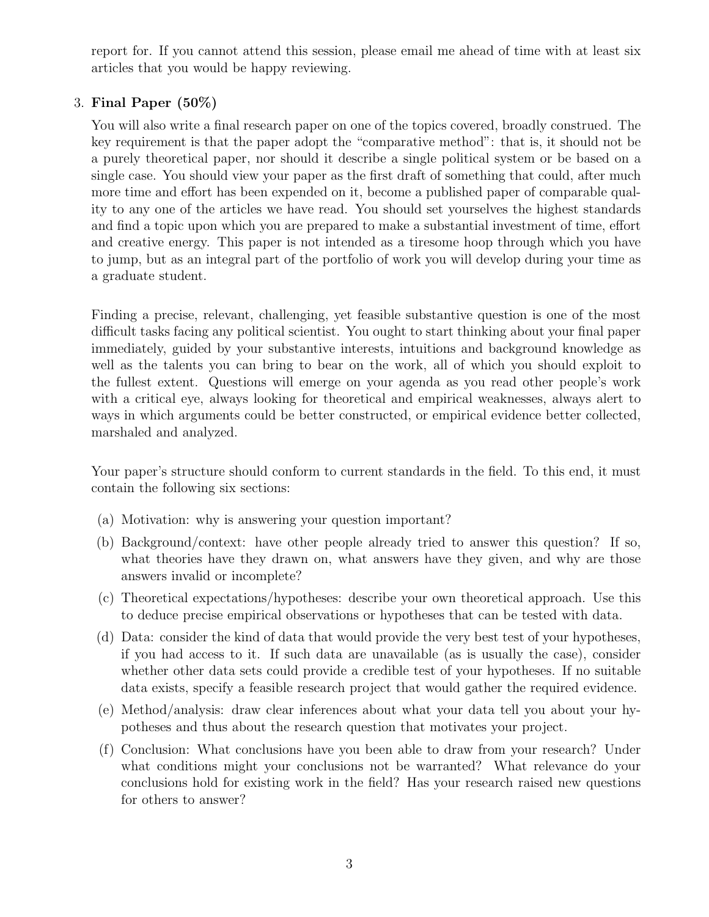report for. If you cannot attend this session, please email me ahead of time with at least six articles that you would be happy reviewing.

# 3. Final Paper (50%)

You will also write a final research paper on one of the topics covered, broadly construed. The key requirement is that the paper adopt the "comparative method": that is, it should not be a purely theoretical paper, nor should it describe a single political system or be based on a single case. You should view your paper as the first draft of something that could, after much more time and effort has been expended on it, become a published paper of comparable quality to any one of the articles we have read. You should set yourselves the highest standards and find a topic upon which you are prepared to make a substantial investment of time, effort and creative energy. This paper is not intended as a tiresome hoop through which you have to jump, but as an integral part of the portfolio of work you will develop during your time as a graduate student.

Finding a precise, relevant, challenging, yet feasible substantive question is one of the most difficult tasks facing any political scientist. You ought to start thinking about your final paper immediately, guided by your substantive interests, intuitions and background knowledge as well as the talents you can bring to bear on the work, all of which you should exploit to the fullest extent. Questions will emerge on your agenda as you read other people's work with a critical eye, always looking for theoretical and empirical weaknesses, always alert to ways in which arguments could be better constructed, or empirical evidence better collected, marshaled and analyzed.

Your paper's structure should conform to current standards in the field. To this end, it must contain the following six sections:

- (a) Motivation: why is answering your question important?
- (b) Background/context: have other people already tried to answer this question? If so, what theories have they drawn on, what answers have they given, and why are those answers invalid or incomplete?
- (c) Theoretical expectations/hypotheses: describe your own theoretical approach. Use this to deduce precise empirical observations or hypotheses that can be tested with data.
- (d) Data: consider the kind of data that would provide the very best test of your hypotheses, if you had access to it. If such data are unavailable (as is usually the case), consider whether other data sets could provide a credible test of your hypotheses. If no suitable data exists, specify a feasible research project that would gather the required evidence.
- (e) Method/analysis: draw clear inferences about what your data tell you about your hypotheses and thus about the research question that motivates your project.
- (f) Conclusion: What conclusions have you been able to draw from your research? Under what conditions might your conclusions not be warranted? What relevance do your conclusions hold for existing work in the field? Has your research raised new questions for others to answer?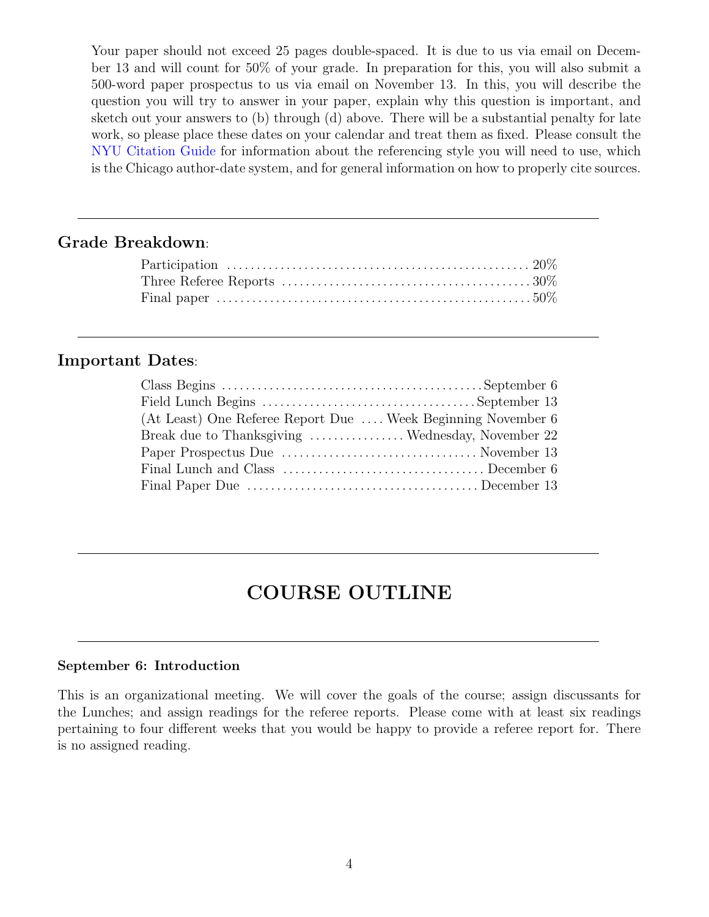Your paper should not exceed 25 pages double-spaced. It is due to us via email on December 13 and will count for 50% of your grade. In preparation for this, you will also submit a 500-word paper prospectus to us via email on November 13. In this, you will describe the question you will try to answer in your paper, explain why this question is important, and sketch out your answers to (b) through (d) above. There will be a substantial penalty for late work, so please place these dates on your calendar and treat them as fixed. Please consult the [NYU Citation Guide](http://guides.nyu.edu/c.php?g=276562&p=1844734) for information about the referencing style you will need to use, which is the Chicago author-date system, and for general information on how to properly cite sources.

# Grade Breakdown:

# Important Dates:

| (At Least) One Referee Report Due  Week Beginning November 6 |  |
|--------------------------------------------------------------|--|
| Break due to Thanksgiving  Wednesday, November 22            |  |
|                                                              |  |
|                                                              |  |
|                                                              |  |

# COURSE OUTLINE

### September 6: Introduction

This is an organizational meeting. We will cover the goals of the course; assign discussants for the Lunches; and assign readings for the referee reports. Please come with at least six readings pertaining to four different weeks that you would be happy to provide a referee report for. There is no assigned reading.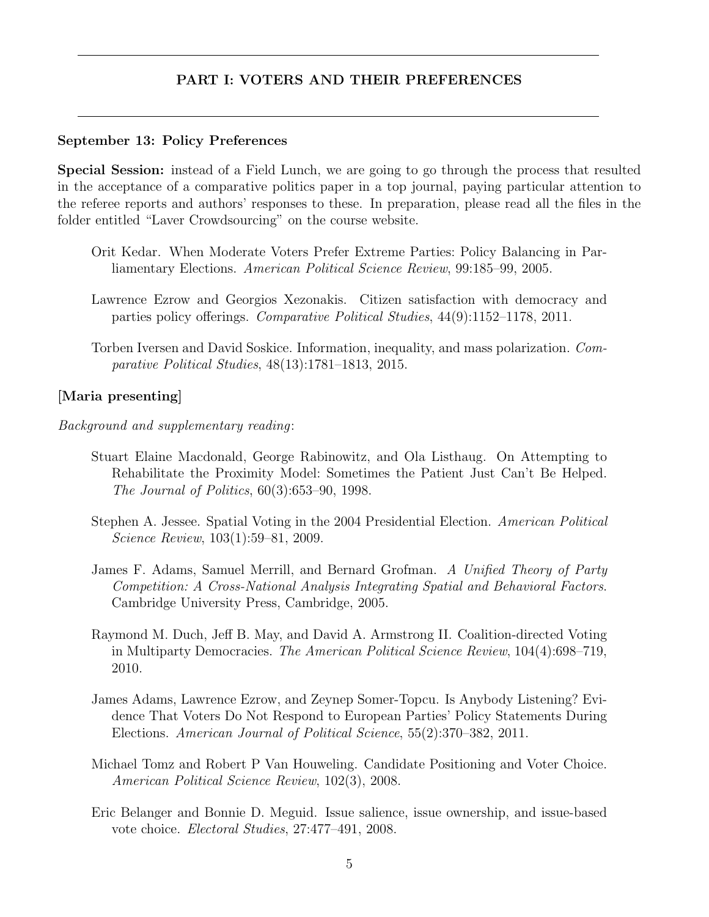### PART I: VOTERS AND THEIR PREFERENCES

#### September 13: Policy Preferences

Special Session: instead of a Field Lunch, we are going to go through the process that resulted in the acceptance of a comparative politics paper in a top journal, paying particular attention to the referee reports and authors' responses to these. In preparation, please read all the files in the folder entitled "Laver Crowdsourcing" on the course website.

- Orit Kedar. When Moderate Voters Prefer Extreme Parties: Policy Balancing in Parliamentary Elections. American Political Science Review, 99:185–99, 2005.
- Lawrence Ezrow and Georgios Xezonakis. Citizen satisfaction with democracy and parties policy offerings. Comparative Political Studies, 44(9):1152–1178, 2011.
- Torben Iversen and David Soskice. Information, inequality, and mass polarization. Comparative Political Studies, 48(13):1781–1813, 2015.

#### [Maria presenting]

Background and supplementary reading:

- Stuart Elaine Macdonald, George Rabinowitz, and Ola Listhaug. On Attempting to Rehabilitate the Proximity Model: Sometimes the Patient Just Can't Be Helped. The Journal of Politics, 60(3):653–90, 1998.
- Stephen A. Jessee. Spatial Voting in the 2004 Presidential Election. American Political Science Review, 103(1):59–81, 2009.
- James F. Adams, Samuel Merrill, and Bernard Grofman. A Unified Theory of Party Competition: A Cross-National Analysis Integrating Spatial and Behavioral Factors. Cambridge University Press, Cambridge, 2005.
- Raymond M. Duch, Jeff B. May, and David A. Armstrong II. Coalition-directed Voting in Multiparty Democracies. The American Political Science Review, 104(4):698–719, 2010.
- James Adams, Lawrence Ezrow, and Zeynep Somer-Topcu. Is Anybody Listening? Evidence That Voters Do Not Respond to European Parties' Policy Statements During Elections. American Journal of Political Science, 55(2):370–382, 2011.
- Michael Tomz and Robert P Van Houweling. Candidate Positioning and Voter Choice. American Political Science Review, 102(3), 2008.
- Eric Belanger and Bonnie D. Meguid. Issue salience, issue ownership, and issue-based vote choice. Electoral Studies, 27:477–491, 2008.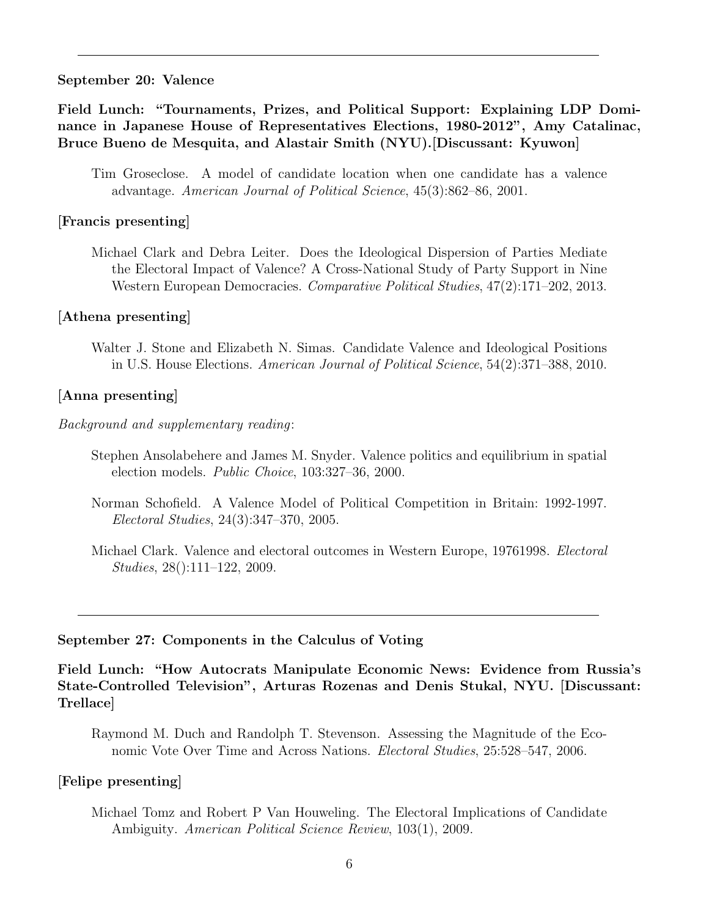#### September 20: Valence

Field Lunch: "Tournaments, Prizes, and Political Support: Explaining LDP Dominance in Japanese House of Representatives Elections, 1980-2012", Amy Catalinac, Bruce Bueno de Mesquita, and Alastair Smith (NYU).[Discussant: Kyuwon]

#### [Francis presenting]

Michael Clark and Debra Leiter. Does the Ideological Dispersion of Parties Mediate the Electoral Impact of Valence? A Cross-National Study of Party Support in Nine Western European Democracies. Comparative Political Studies, 47(2):171–202, 2013.

#### [Athena presenting]

Walter J. Stone and Elizabeth N. Simas. Candidate Valence and Ideological Positions in U.S. House Elections. American Journal of Political Science, 54(2):371–388, 2010.

#### [Anna presenting]

#### Background and supplementary reading:

- Stephen Ansolabehere and James M. Snyder. Valence politics and equilibrium in spatial election models. Public Choice, 103:327–36, 2000.
- Norman Schofield. A Valence Model of Political Competition in Britain: 1992-1997. Electoral Studies, 24(3):347–370, 2005.
- Michael Clark. Valence and electoral outcomes in Western Europe, 19761998. Electoral Studies, 28():111–122, 2009.

#### September 27: Components in the Calculus of Voting

Field Lunch: "How Autocrats Manipulate Economic News: Evidence from Russia's State-Controlled Television", Arturas Rozenas and Denis Stukal, NYU. [Discussant: Trellace]

Raymond M. Duch and Randolph T. Stevenson. Assessing the Magnitude of the Economic Vote Over Time and Across Nations. Electoral Studies, 25:528–547, 2006.

### [Felipe presenting]

Michael Tomz and Robert P Van Houweling. The Electoral Implications of Candidate Ambiguity. American Political Science Review, 103(1), 2009.

Tim Groseclose. A model of candidate location when one candidate has a valence advantage. American Journal of Political Science, 45(3):862–86, 2001.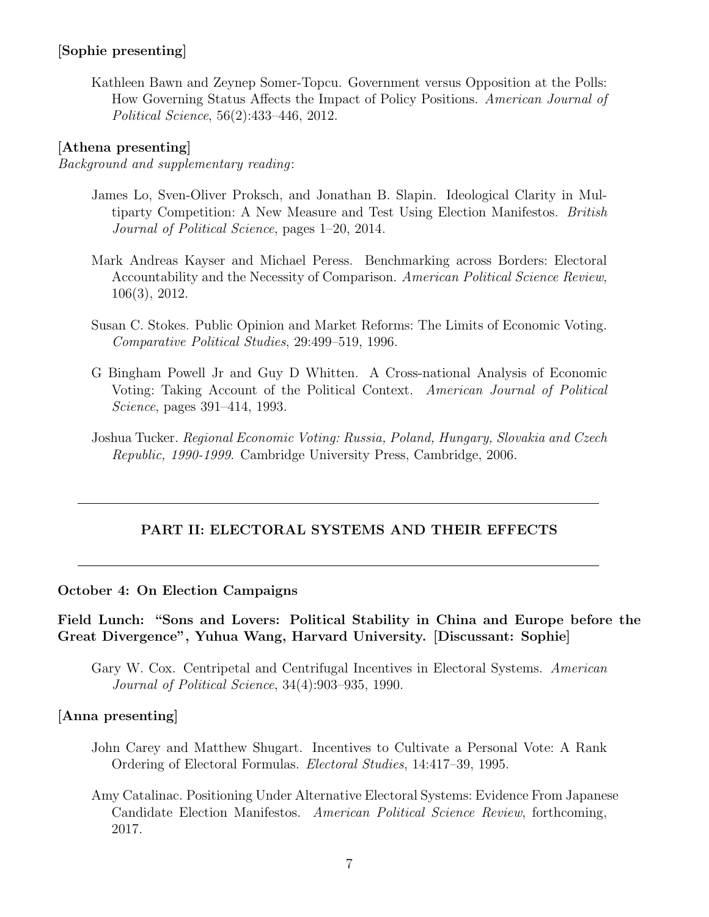# [Sophie presenting]

Kathleen Bawn and Zeynep Somer-Topcu. Government versus Opposition at the Polls: How Governing Status Affects the Impact of Policy Positions. American Journal of Political Science, 56(2):433–446, 2012.

### [Athena presenting]

Background and supplementary reading:

- James Lo, Sven-Oliver Proksch, and Jonathan B. Slapin. Ideological Clarity in Multiparty Competition: A New Measure and Test Using Election Manifestos. British Journal of Political Science, pages 1–20, 2014.
- Mark Andreas Kayser and Michael Peress. Benchmarking across Borders: Electoral Accountability and the Necessity of Comparison. American Political Science Review, 106(3), 2012.
- Susan C. Stokes. Public Opinion and Market Reforms: The Limits of Economic Voting. Comparative Political Studies, 29:499–519, 1996.
- G Bingham Powell Jr and Guy D Whitten. A Cross-national Analysis of Economic Voting: Taking Account of the Political Context. American Journal of Political Science, pages 391–414, 1993.
- Joshua Tucker. Regional Economic Voting: Russia, Poland, Hungary, Slovakia and Czech Republic, 1990-1999. Cambridge University Press, Cambridge, 2006.

### PART II: ELECTORAL SYSTEMS AND THEIR EFFECTS

#### October 4: On Election Campaigns

## Field Lunch: "Sons and Lovers: Political Stability in China and Europe before the Great Divergence", Yuhua Wang, Harvard University. [Discussant: Sophie]

Gary W. Cox. Centripetal and Centrifugal Incentives in Electoral Systems. American Journal of Political Science, 34(4):903–935, 1990.

### [Anna presenting]

- John Carey and Matthew Shugart. Incentives to Cultivate a Personal Vote: A Rank Ordering of Electoral Formulas. Electoral Studies, 14:417–39, 1995.
- Amy Catalinac. Positioning Under Alternative Electoral Systems: Evidence From Japanese Candidate Election Manifestos. American Political Science Review, forthcoming, 2017.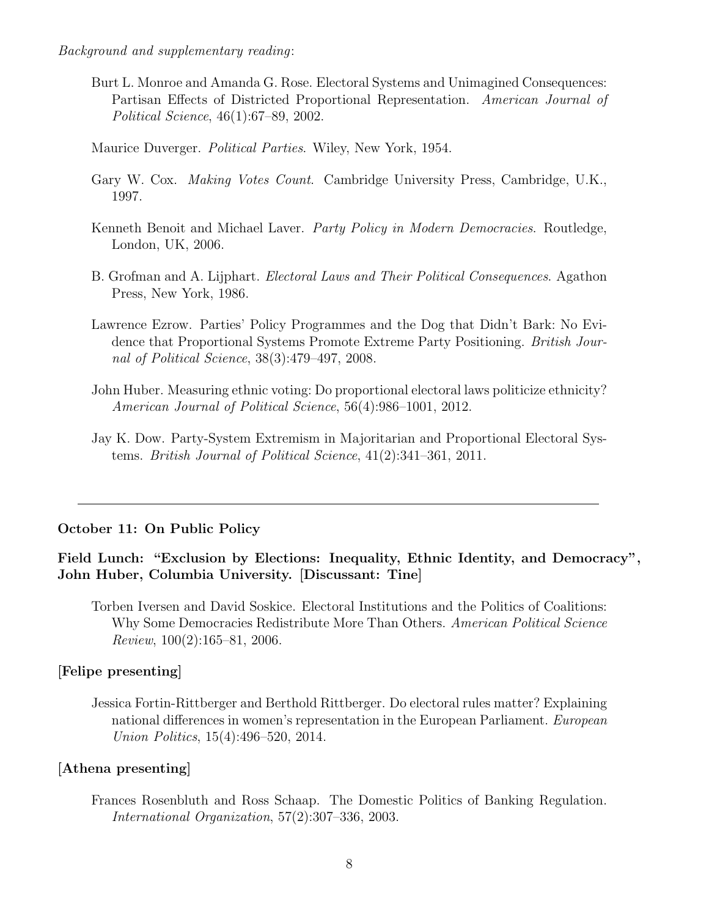Background and supplementary reading:

- Burt L. Monroe and Amanda G. Rose. Electoral Systems and Unimagined Consequences: Partisan Effects of Districted Proportional Representation. American Journal of Political Science, 46(1):67–89, 2002.
- Maurice Duverger. Political Parties. Wiley, New York, 1954.
- Gary W. Cox. Making Votes Count. Cambridge University Press, Cambridge, U.K., 1997.
- Kenneth Benoit and Michael Laver. Party Policy in Modern Democracies. Routledge, London, UK, 2006.
- B. Grofman and A. Lijphart. Electoral Laws and Their Political Consequences. Agathon Press, New York, 1986.
- Lawrence Ezrow. Parties' Policy Programmes and the Dog that Didn't Bark: No Evidence that Proportional Systems Promote Extreme Party Positioning. British Journal of Political Science, 38(3):479–497, 2008.
- John Huber. Measuring ethnic voting: Do proportional electoral laws politicize ethnicity? American Journal of Political Science, 56(4):986–1001, 2012.
- Jay K. Dow. Party-System Extremism in Majoritarian and Proportional Electoral Systems. British Journal of Political Science, 41(2):341–361, 2011.

### October 11: On Public Policy

# Field Lunch: "Exclusion by Elections: Inequality, Ethnic Identity, and Democracy", John Huber, Columbia University. [Discussant: Tine]

Torben Iversen and David Soskice. Electoral Institutions and the Politics of Coalitions: Why Some Democracies Redistribute More Than Others. American Political Science Review, 100(2):165–81, 2006.

### [Felipe presenting]

Jessica Fortin-Rittberger and Berthold Rittberger. Do electoral rules matter? Explaining national differences in women's representation in the European Parliament. European Union Politics, 15(4):496–520, 2014.

### [Athena presenting]

Frances Rosenbluth and Ross Schaap. The Domestic Politics of Banking Regulation. International Organization, 57(2):307–336, 2003.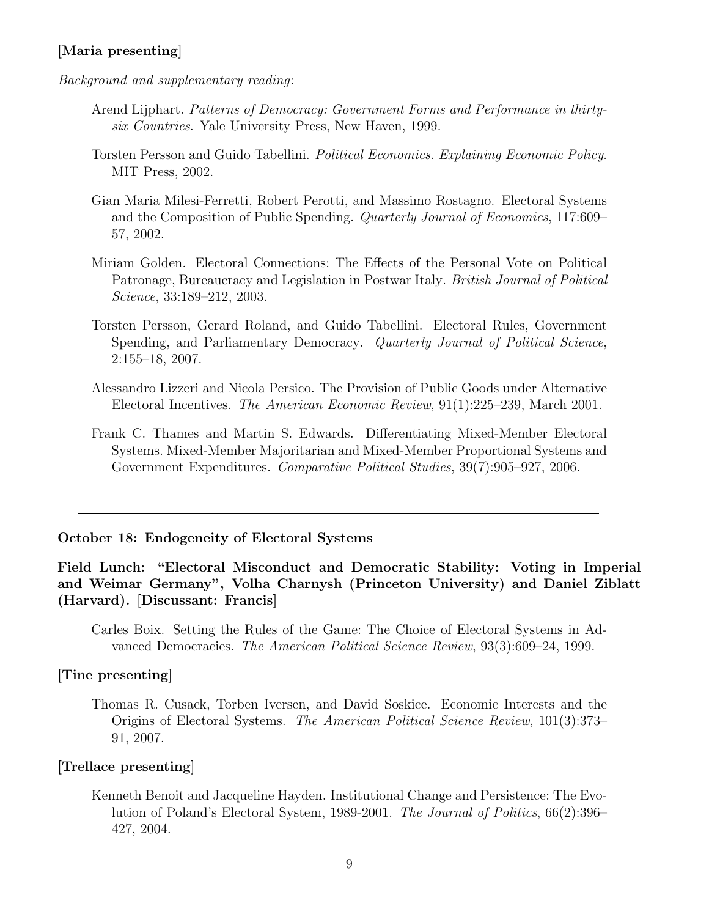# [Maria presenting]

Background and supplementary reading:

- Arend Lijphart. Patterns of Democracy: Government Forms and Performance in thirtysix Countries. Yale University Press, New Haven, 1999.
- Torsten Persson and Guido Tabellini. Political Economics. Explaining Economic Policy. MIT Press, 2002.
- Gian Maria Milesi-Ferretti, Robert Perotti, and Massimo Rostagno. Electoral Systems and the Composition of Public Spending. Quarterly Journal of Economics, 117:609– 57, 2002.
- Miriam Golden. Electoral Connections: The Effects of the Personal Vote on Political Patronage, Bureaucracy and Legislation in Postwar Italy. British Journal of Political Science, 33:189–212, 2003.
- Torsten Persson, Gerard Roland, and Guido Tabellini. Electoral Rules, Government Spending, and Parliamentary Democracy. Quarterly Journal of Political Science, 2:155–18, 2007.
- Alessandro Lizzeri and Nicola Persico. The Provision of Public Goods under Alternative Electoral Incentives. The American Economic Review, 91(1):225–239, March 2001.
- Frank C. Thames and Martin S. Edwards. Differentiating Mixed-Member Electoral Systems. Mixed-Member Majoritarian and Mixed-Member Proportional Systems and Government Expenditures. Comparative Political Studies, 39(7):905–927, 2006.

October 18: Endogeneity of Electoral Systems

Field Lunch: "Electoral Misconduct and Democratic Stability: Voting in Imperial and Weimar Germany", Volha Charnysh (Princeton University) and Daniel Ziblatt (Harvard). [Discussant: Francis]

Carles Boix. Setting the Rules of the Game: The Choice of Electoral Systems in Advanced Democracies. The American Political Science Review, 93(3):609–24, 1999.

### [Tine presenting]

Thomas R. Cusack, Torben Iversen, and David Soskice. Economic Interests and the Origins of Electoral Systems. The American Political Science Review, 101(3):373– 91, 2007.

#### [Trellace presenting]

Kenneth Benoit and Jacqueline Hayden. Institutional Change and Persistence: The Evolution of Poland's Electoral System, 1989-2001. The Journal of Politics, 66(2):396– 427, 2004.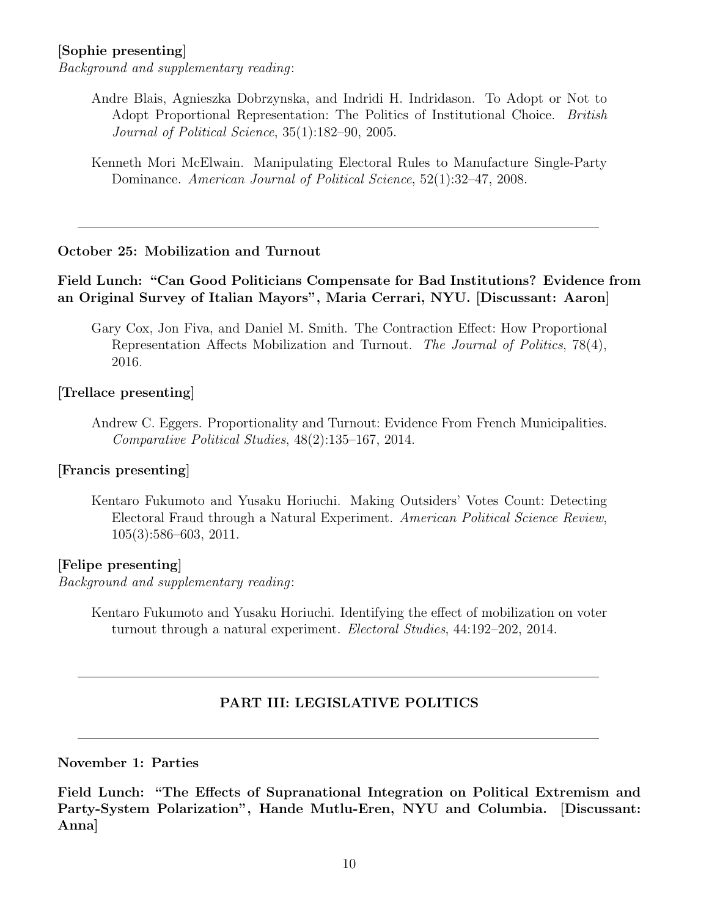# [Sophie presenting]

Background and supplementary reading:

- Andre Blais, Agnieszka Dobrzynska, and Indridi H. Indridason. To Adopt or Not to Adopt Proportional Representation: The Politics of Institutional Choice. British Journal of Political Science, 35(1):182–90, 2005.
- Kenneth Mori McElwain. Manipulating Electoral Rules to Manufacture Single-Party Dominance. American Journal of Political Science, 52(1):32–47, 2008.

### October 25: Mobilization and Turnout

### Field Lunch: "Can Good Politicians Compensate for Bad Institutions? Evidence from an Original Survey of Italian Mayors", Maria Cerrari, NYU. [Discussant: Aaron]

Gary Cox, Jon Fiva, and Daniel M. Smith. The Contraction Effect: How Proportional Representation Affects Mobilization and Turnout. The Journal of Politics, 78(4), 2016.

#### [Trellace presenting]

Andrew C. Eggers. Proportionality and Turnout: Evidence From French Municipalities. Comparative Political Studies, 48(2):135–167, 2014.

#### [Francis presenting]

Kentaro Fukumoto and Yusaku Horiuchi. Making Outsiders' Votes Count: Detecting Electoral Fraud through a Natural Experiment. American Political Science Review, 105(3):586–603, 2011.

#### [Felipe presenting]

Background and supplementary reading:

Kentaro Fukumoto and Yusaku Horiuchi. Identifying the effect of mobilization on voter turnout through a natural experiment. Electoral Studies, 44:192–202, 2014.

# PART III: LEGISLATIVE POLITICS

### November 1: Parties

Field Lunch: "The Effects of Supranational Integration on Political Extremism and Party-System Polarization", Hande Mutlu-Eren, NYU and Columbia. [Discussant: Anna]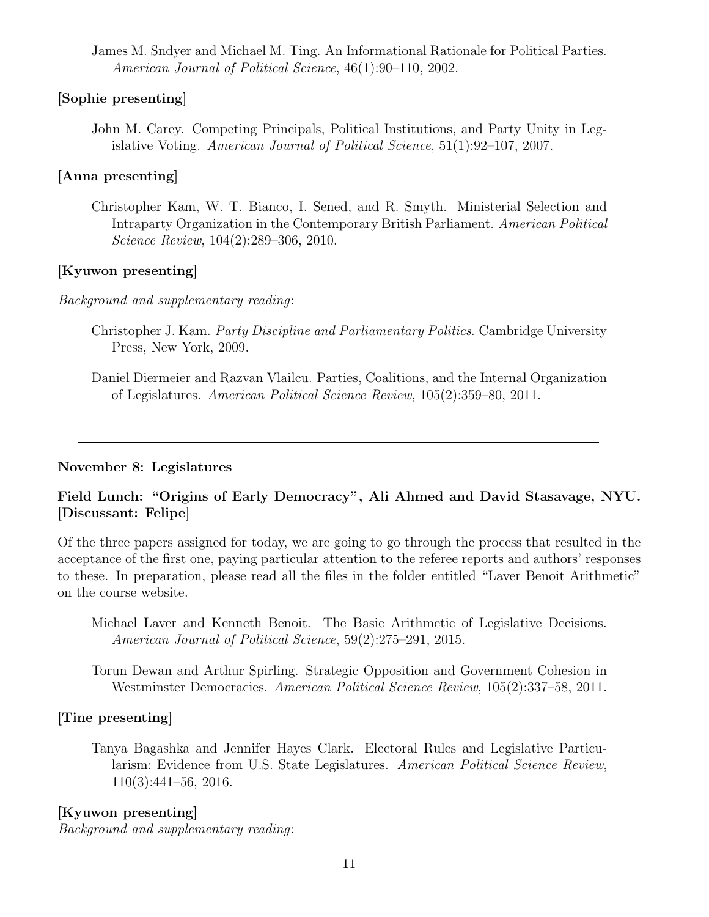James M. Sndyer and Michael M. Ting. An Informational Rationale for Political Parties. American Journal of Political Science, 46(1):90–110, 2002.

# [Sophie presenting]

John M. Carey. Competing Principals, Political Institutions, and Party Unity in Legislative Voting. American Journal of Political Science, 51(1):92–107, 2007.

# [Anna presenting]

Christopher Kam, W. T. Bianco, I. Sened, and R. Smyth. Ministerial Selection and Intraparty Organization in the Contemporary British Parliament. American Political Science Review, 104(2):289–306, 2010.

# [Kyuwon presenting]

Background and supplementary reading:

- Christopher J. Kam. Party Discipline and Parliamentary Politics. Cambridge University Press, New York, 2009.
- Daniel Diermeier and Razvan Vlailcu. Parties, Coalitions, and the Internal Organization of Legislatures. American Political Science Review, 105(2):359–80, 2011.

## November 8: Legislatures

# Field Lunch: "Origins of Early Democracy", Ali Ahmed and David Stasavage, NYU. [Discussant: Felipe]

Of the three papers assigned for today, we are going to go through the process that resulted in the acceptance of the first one, paying particular attention to the referee reports and authors' responses to these. In preparation, please read all the files in the folder entitled "Laver Benoit Arithmetic" on the course website.

- Michael Laver and Kenneth Benoit. The Basic Arithmetic of Legislative Decisions. American Journal of Political Science, 59(2):275–291, 2015.
- Torun Dewan and Arthur Spirling. Strategic Opposition and Government Cohesion in Westminster Democracies. American Political Science Review, 105(2):337–58, 2011.

# [Tine presenting]

Tanya Bagashka and Jennifer Hayes Clark. Electoral Rules and Legislative Particularism: Evidence from U.S. State Legislatures. American Political Science Review, 110(3):441–56, 2016.

# [Kyuwon presenting]

Background and supplementary reading: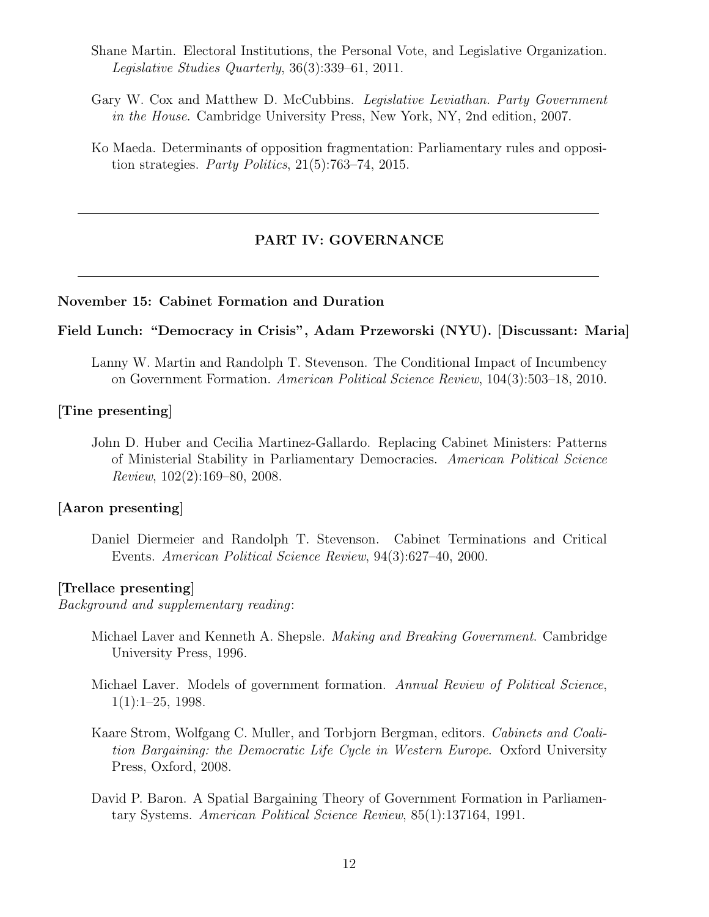- Shane Martin. Electoral Institutions, the Personal Vote, and Legislative Organization. Legislative Studies Quarterly, 36(3):339–61, 2011.
- Gary W. Cox and Matthew D. McCubbins. Legislative Leviathan. Party Government in the House. Cambridge University Press, New York, NY, 2nd edition, 2007.
- Ko Maeda. Determinants of opposition fragmentation: Parliamentary rules and opposition strategies. Party Politics, 21(5):763–74, 2015.

### PART IV: GOVERNANCE

### November 15: Cabinet Formation and Duration

### Field Lunch: "Democracy in Crisis", Adam Przeworski (NYU). [Discussant: Maria]

Lanny W. Martin and Randolph T. Stevenson. The Conditional Impact of Incumbency on Government Formation. American Political Science Review, 104(3):503–18, 2010.

#### [Tine presenting]

John D. Huber and Cecilia Martinez-Gallardo. Replacing Cabinet Ministers: Patterns of Ministerial Stability in Parliamentary Democracies. American Political Science Review, 102(2):169–80, 2008.

#### [Aaron presenting]

Daniel Diermeier and Randolph T. Stevenson. Cabinet Terminations and Critical Events. American Political Science Review, 94(3):627–40, 2000.

#### [Trellace presenting]

Background and supplementary reading:

- Michael Laver and Kenneth A. Shepsle. Making and Breaking Government. Cambridge University Press, 1996.
- Michael Laver. Models of government formation. Annual Review of Political Science,  $1(1):1-25$ , 1998.
- Kaare Strom, Wolfgang C. Muller, and Torbjorn Bergman, editors. Cabinets and Coalition Bargaining: the Democratic Life Cycle in Western Europe. Oxford University Press, Oxford, 2008.
- David P. Baron. A Spatial Bargaining Theory of Government Formation in Parliamentary Systems. American Political Science Review, 85(1):137164, 1991.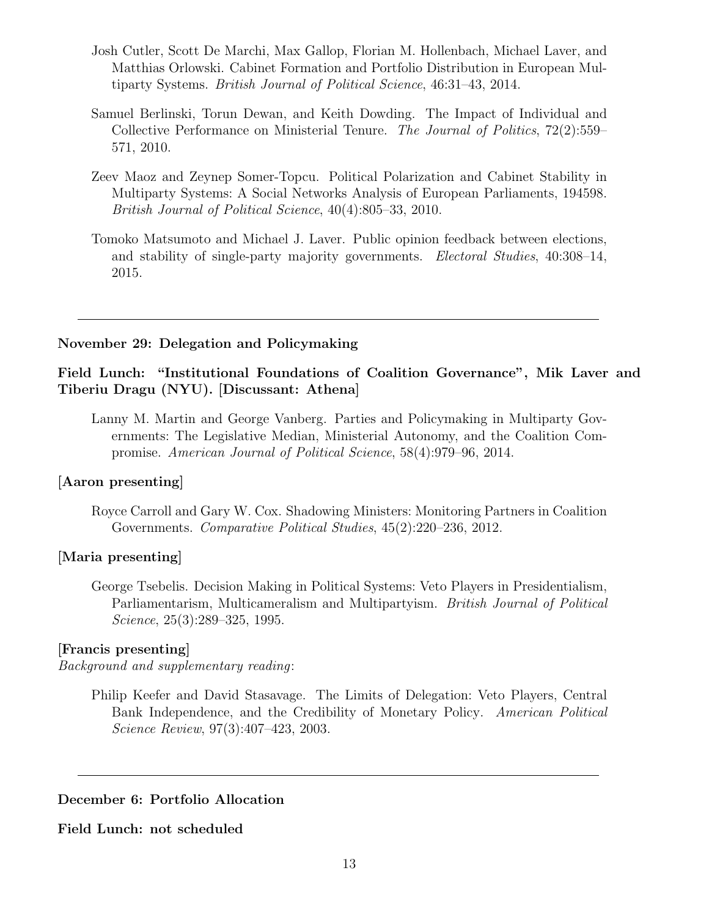- Josh Cutler, Scott De Marchi, Max Gallop, Florian M. Hollenbach, Michael Laver, and Matthias Orlowski. Cabinet Formation and Portfolio Distribution in European Multiparty Systems. British Journal of Political Science, 46:31–43, 2014.
- Samuel Berlinski, Torun Dewan, and Keith Dowding. The Impact of Individual and Collective Performance on Ministerial Tenure. The Journal of Politics, 72(2):559– 571, 2010.
- Zeev Maoz and Zeynep Somer-Topcu. Political Polarization and Cabinet Stability in Multiparty Systems: A Social Networks Analysis of European Parliaments, 194598. British Journal of Political Science, 40(4):805–33, 2010.
- Tomoko Matsumoto and Michael J. Laver. Public opinion feedback between elections, and stability of single-party majority governments. Electoral Studies, 40:308–14, 2015.

### November 29: Delegation and Policymaking

# Field Lunch: "Institutional Foundations of Coalition Governance", Mik Laver and Tiberiu Dragu (NYU). [Discussant: Athena]

Lanny M. Martin and George Vanberg. Parties and Policymaking in Multiparty Governments: The Legislative Median, Ministerial Autonomy, and the Coalition Compromise. American Journal of Political Science, 58(4):979–96, 2014.

#### [Aaron presenting]

Royce Carroll and Gary W. Cox. Shadowing Ministers: Monitoring Partners in Coalition Governments. Comparative Political Studies, 45(2):220–236, 2012.

### [Maria presenting]

George Tsebelis. Decision Making in Political Systems: Veto Players in Presidentialism, Parliamentarism, Multicameralism and Multipartyism. British Journal of Political Science, 25(3):289–325, 1995.

### [Francis presenting]

Background and supplementary reading:

Philip Keefer and David Stasavage. The Limits of Delegation: Veto Players, Central Bank Independence, and the Credibility of Monetary Policy. American Political Science Review, 97(3):407–423, 2003.

### December 6: Portfolio Allocation

### Field Lunch: not scheduled